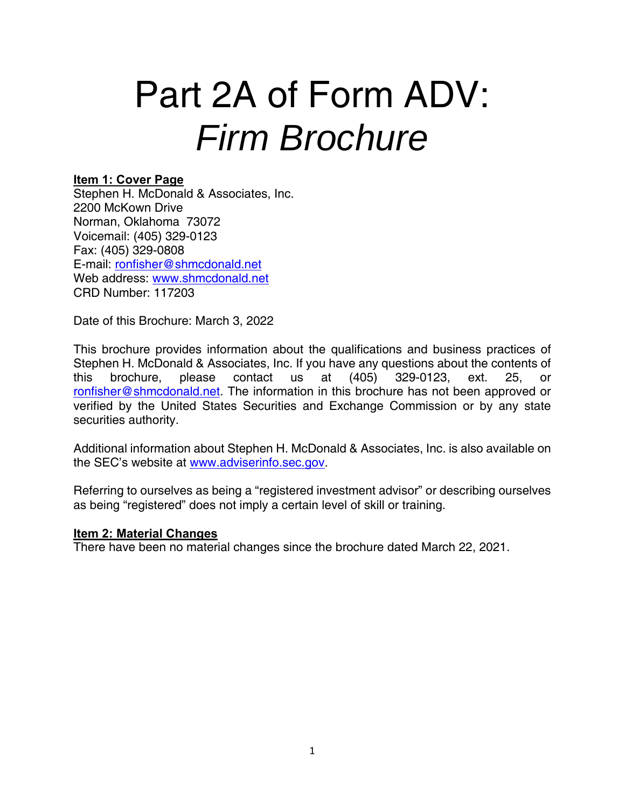# Part 2A of Form ADV: *Firm Brochure*

# **Item 1: Cover Page**

Stephen H. McDonald & Associates, Inc. 2200 McKown Drive Norman, Oklahoma 73072 Voicemail: (405) 329-0123 Fax: (405) 329-0808 E-mail: ronfisher@shmcdonald.net Web address: www.shmcdonald.net CRD Number: 117203

Date of this Brochure: March 3, 2022

This brochure provides information about the qualifications and business practices of Stephen H. McDonald & Associates, Inc. If you have any questions about the contents of this brochure, please contact us at (405) 329-0123, ext. 25, or ronfisher@shmcdonald.net. The information in this brochure has not been approved or verified by the United States Securities and Exchange Commission or by any state securities authority.

Additional information about Stephen H. McDonald & Associates, Inc. is also available on the SEC's website at www.adviserinfo.sec.gov.

Referring to ourselves as being a "registered investment advisor" or describing ourselves as being "registered" does not imply a certain level of skill or training.

#### **Item 2: Material Changes**

There have been no material changes since the brochure dated March 22, 2021.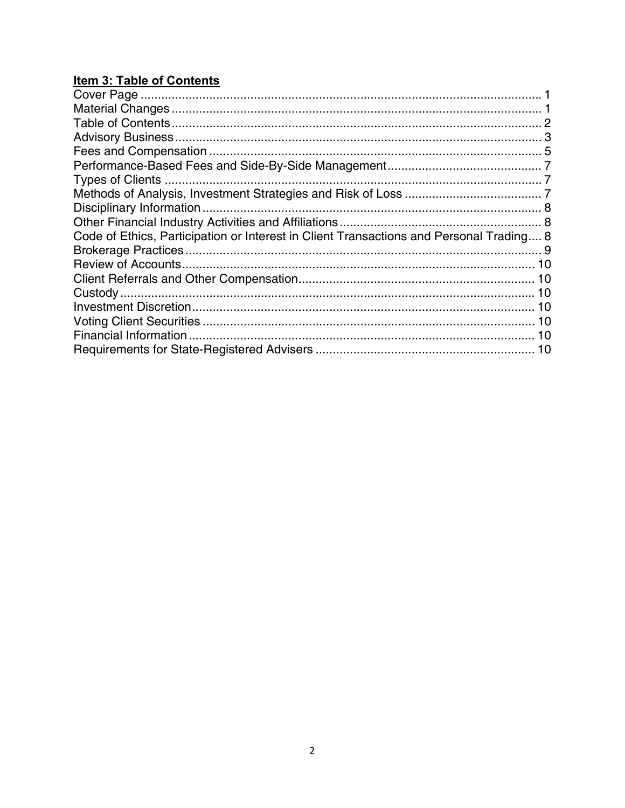# **Item 3: Table of Contents**

| Code of Ethics, Participation or Interest in Client Transactions and Personal Trading 8 |  |
|-----------------------------------------------------------------------------------------|--|
|                                                                                         |  |
|                                                                                         |  |
|                                                                                         |  |
|                                                                                         |  |
|                                                                                         |  |
|                                                                                         |  |
|                                                                                         |  |
|                                                                                         |  |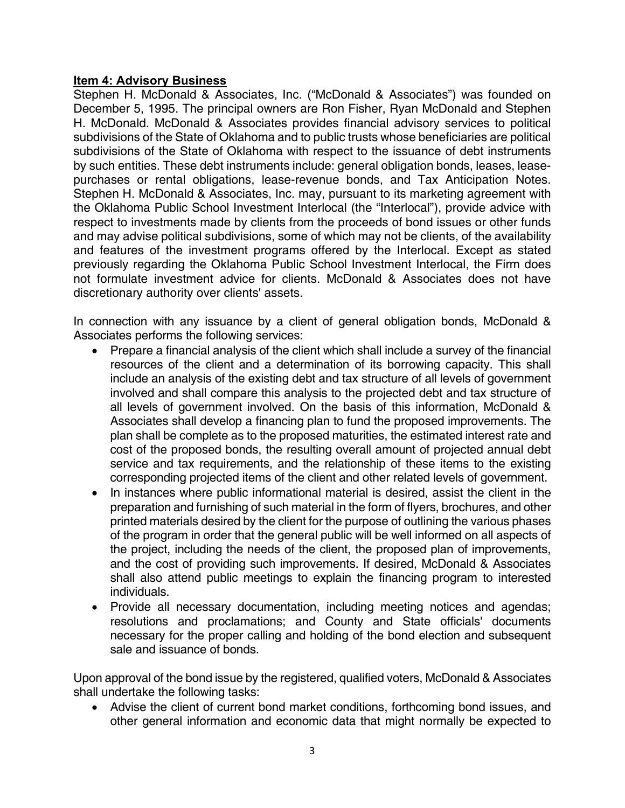## **Item 4: Advisory Business**

Stephen H. McDonald & Associates, Inc. ("McDonald & Associates") was founded on December 5, 1995. The principal owners are Ron Fisher, Ryan McDonald and Stephen H. McDonald. McDonald & Associates provides financial advisory services to political subdivisions of the State of Oklahoma and to public trusts whose beneficiaries are political subdivisions of the State of Oklahoma with respect to the issuance of debt instruments by such entities. These debt instruments include: general obligation bonds, leases, leasepurchases or rental obligations, lease-revenue bonds, and Tax Anticipation Notes. Stephen H. McDonald & Associates, Inc. may, pursuant to its marketing agreement with the Oklahoma Public School Investment Interlocal (the "Interlocal"), provide advice with respect to investments made by clients from the proceeds of bond issues or other funds and may advise political subdivisions, some of which may not be clients, of the availability and features of the investment programs offered by the Interlocal. Except as stated previously regarding the Oklahoma Public School Investment Interlocal, the Firm does not formulate investment advice for clients. McDonald & Associates does not have discretionary authority over clients' assets.

In connection with any issuance by a client of general obligation bonds, McDonald & Associates performs the following services:

- Prepare a financial analysis of the client which shall include a survey of the financial resources of the client and a determination of its borrowing capacity. This shall include an analysis of the existing debt and tax structure of all levels of government involved and shall compare this analysis to the projected debt and tax structure of all levels of government involved. On the basis of this information, McDonald & Associates shall develop a financing plan to fund the proposed improvements. The plan shall be complete as to the proposed maturities, the estimated interest rate and cost of the proposed bonds, the resulting overall amount of projected annual debt service and tax requirements, and the relationship of these items to the existing corresponding projected items of the client and other related levels of government.
- In instances where public informational material is desired, assist the client in the preparation and furnishing of such material in the form of flyers, brochures, and other printed materials desired by the client for the purpose of outlining the various phases of the program in order that the general public will be well informed on all aspects of the project, including the needs of the client, the proposed plan of improvements, and the cost of providing such improvements. If desired, McDonald & Associates shall also attend public meetings to explain the financing program to interested individuals.
- Provide all necessary documentation, including meeting notices and agendas; resolutions and proclamations; and County and State officials' documents necessary for the proper calling and holding of the bond election and subsequent sale and issuance of bonds.

Upon approval of the bond issue by the registered, qualified voters, McDonald & Associates shall undertake the following tasks:

 Advise the client of current bond market conditions, forthcoming bond issues, and other general information and economic data that might normally be expected to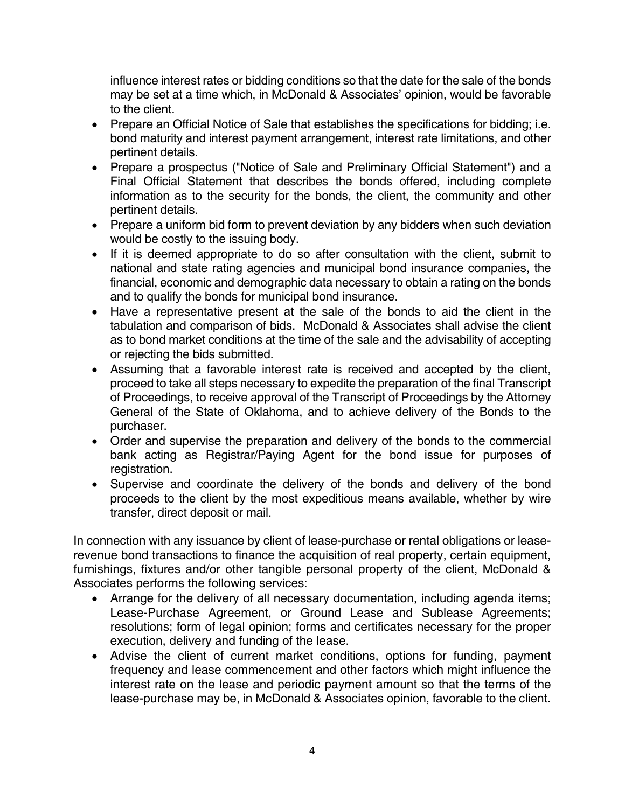influence interest rates or bidding conditions so that the date for the sale of the bonds may be set at a time which, in McDonald & Associates' opinion, would be favorable to the client.

- Prepare an Official Notice of Sale that establishes the specifications for bidding; i.e. bond maturity and interest payment arrangement, interest rate limitations, and other pertinent details.
- Prepare a prospectus ("Notice of Sale and Preliminary Official Statement") and a Final Official Statement that describes the bonds offered, including complete information as to the security for the bonds, the client, the community and other pertinent details.
- Prepare a uniform bid form to prevent deviation by any bidders when such deviation would be costly to the issuing body.
- If it is deemed appropriate to do so after consultation with the client, submit to national and state rating agencies and municipal bond insurance companies, the financial, economic and demographic data necessary to obtain a rating on the bonds and to qualify the bonds for municipal bond insurance.
- Have a representative present at the sale of the bonds to aid the client in the tabulation and comparison of bids. McDonald & Associates shall advise the client as to bond market conditions at the time of the sale and the advisability of accepting or rejecting the bids submitted.
- Assuming that a favorable interest rate is received and accepted by the client, proceed to take all steps necessary to expedite the preparation of the final Transcript of Proceedings, to receive approval of the Transcript of Proceedings by the Attorney General of the State of Oklahoma, and to achieve delivery of the Bonds to the purchaser.
- Order and supervise the preparation and delivery of the bonds to the commercial bank acting as Registrar/Paying Agent for the bond issue for purposes of registration.
- Supervise and coordinate the delivery of the bonds and delivery of the bond proceeds to the client by the most expeditious means available, whether by wire transfer, direct deposit or mail.

In connection with any issuance by client of lease-purchase or rental obligations or leaserevenue bond transactions to finance the acquisition of real property, certain equipment, furnishings, fixtures and/or other tangible personal property of the client, McDonald & Associates performs the following services:

- Arrange for the delivery of all necessary documentation, including agenda items; Lease-Purchase Agreement, or Ground Lease and Sublease Agreements; resolutions; form of legal opinion; forms and certificates necessary for the proper execution, delivery and funding of the lease.
- Advise the client of current market conditions, options for funding, payment frequency and lease commencement and other factors which might influence the interest rate on the lease and periodic payment amount so that the terms of the lease-purchase may be, in McDonald & Associates opinion, favorable to the client.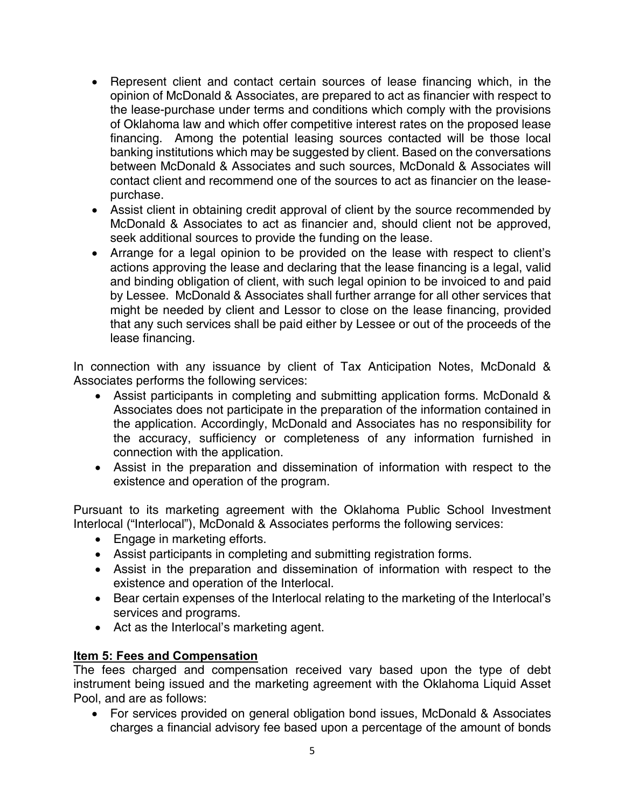- Represent client and contact certain sources of lease financing which, in the opinion of McDonald & Associates, are prepared to act as financier with respect to the lease-purchase under terms and conditions which comply with the provisions of Oklahoma law and which offer competitive interest rates on the proposed lease financing. Among the potential leasing sources contacted will be those local banking institutions which may be suggested by client. Based on the conversations between McDonald & Associates and such sources, McDonald & Associates will contact client and recommend one of the sources to act as financier on the leasepurchase.
- Assist client in obtaining credit approval of client by the source recommended by McDonald & Associates to act as financier and, should client not be approved, seek additional sources to provide the funding on the lease.
- Arrange for a legal opinion to be provided on the lease with respect to client's actions approving the lease and declaring that the lease financing is a legal, valid and binding obligation of client, with such legal opinion to be invoiced to and paid by Lessee. McDonald & Associates shall further arrange for all other services that might be needed by client and Lessor to close on the lease financing, provided that any such services shall be paid either by Lessee or out of the proceeds of the lease financing.

In connection with any issuance by client of Tax Anticipation Notes, McDonald & Associates performs the following services:

- Assist participants in completing and submitting application forms. McDonald & Associates does not participate in the preparation of the information contained in the application. Accordingly, McDonald and Associates has no responsibility for the accuracy, sufficiency or completeness of any information furnished in connection with the application.
- Assist in the preparation and dissemination of information with respect to the existence and operation of the program.

Pursuant to its marketing agreement with the Oklahoma Public School Investment Interlocal ("Interlocal"), McDonald & Associates performs the following services:

- Engage in marketing efforts.
- Assist participants in completing and submitting registration forms.
- Assist in the preparation and dissemination of information with respect to the existence and operation of the Interlocal.
- Bear certain expenses of the Interlocal relating to the marketing of the Interlocal's services and programs.
- Act as the Interlocal's marketing agent.

# **Item 5: Fees and Compensation**

The fees charged and compensation received vary based upon the type of debt instrument being issued and the marketing agreement with the Oklahoma Liquid Asset Pool, and are as follows:

 For services provided on general obligation bond issues, McDonald & Associates charges a financial advisory fee based upon a percentage of the amount of bonds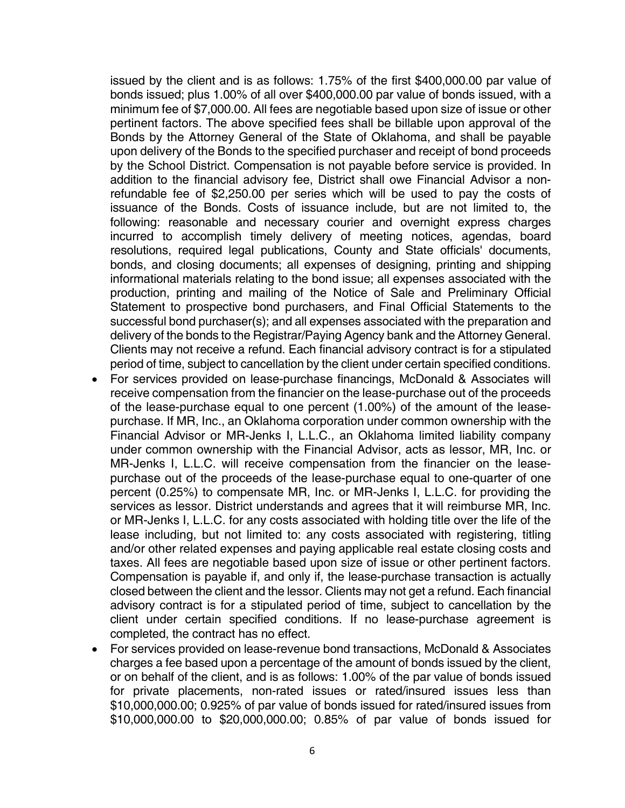issued by the client and is as follows: 1.75% of the first \$400,000.00 par value of bonds issued; plus 1.00% of all over \$400,000.00 par value of bonds issued, with a minimum fee of \$7,000.00. All fees are negotiable based upon size of issue or other pertinent factors. The above specified fees shall be billable upon approval of the Bonds by the Attorney General of the State of Oklahoma, and shall be payable upon delivery of the Bonds to the specified purchaser and receipt of bond proceeds by the School District. Compensation is not payable before service is provided. In addition to the financial advisory fee, District shall owe Financial Advisor a nonrefundable fee of \$2,250.00 per series which will be used to pay the costs of issuance of the Bonds. Costs of issuance include, but are not limited to, the following: reasonable and necessary courier and overnight express charges incurred to accomplish timely delivery of meeting notices, agendas, board resolutions, required legal publications, County and State officials' documents, bonds, and closing documents; all expenses of designing, printing and shipping informational materials relating to the bond issue; all expenses associated with the production, printing and mailing of the Notice of Sale and Preliminary Official Statement to prospective bond purchasers, and Final Official Statements to the successful bond purchaser(s); and all expenses associated with the preparation and delivery of the bonds to the Registrar/Paying Agency bank and the Attorney General. Clients may not receive a refund. Each financial advisory contract is for a stipulated period of time, subject to cancellation by the client under certain specified conditions.

- For services provided on lease-purchase financings, McDonald & Associates will receive compensation from the financier on the lease-purchase out of the proceeds of the lease-purchase equal to one percent (1.00%) of the amount of the leasepurchase. If MR, Inc., an Oklahoma corporation under common ownership with the Financial Advisor or MR-Jenks I, L.L.C., an Oklahoma limited liability company under common ownership with the Financial Advisor, acts as lessor, MR, Inc. or MR-Jenks I, L.L.C. will receive compensation from the financier on the leasepurchase out of the proceeds of the lease-purchase equal to one-quarter of one percent (0.25%) to compensate MR, Inc. or MR-Jenks I, L.L.C. for providing the services as lessor. District understands and agrees that it will reimburse MR, Inc. or MR-Jenks I, L.L.C. for any costs associated with holding title over the life of the lease including, but not limited to: any costs associated with registering, titling and/or other related expenses and paying applicable real estate closing costs and taxes. All fees are negotiable based upon size of issue or other pertinent factors. Compensation is payable if, and only if, the lease-purchase transaction is actually closed between the client and the lessor. Clients may not get a refund. Each financial advisory contract is for a stipulated period of time, subject to cancellation by the client under certain specified conditions. If no lease-purchase agreement is completed, the contract has no effect.
- For services provided on lease-revenue bond transactions, McDonald & Associates charges a fee based upon a percentage of the amount of bonds issued by the client, or on behalf of the client, and is as follows: 1.00% of the par value of bonds issued for private placements, non-rated issues or rated/insured issues less than \$10,000,000.00; 0.925% of par value of bonds issued for rated/insured issues from \$10,000,000.00 to \$20,000,000.00; 0.85% of par value of bonds issued for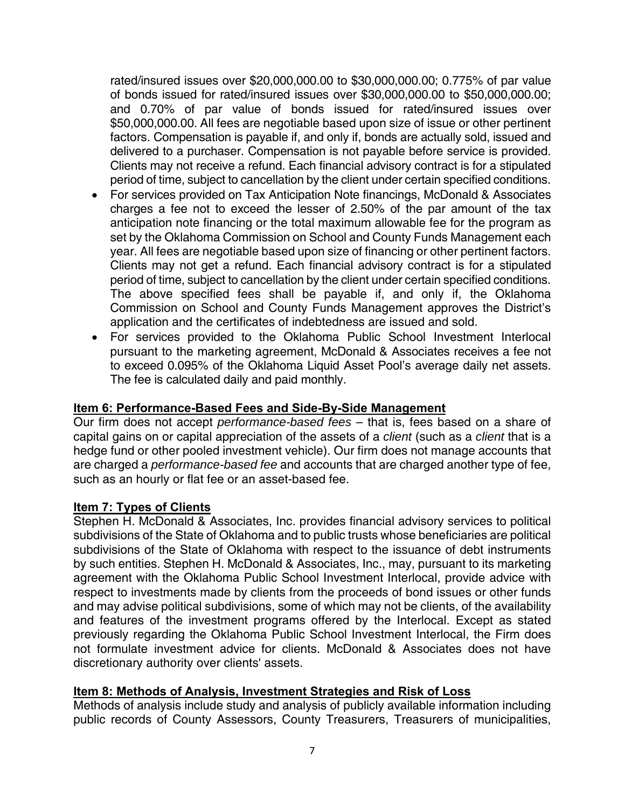rated/insured issues over \$20,000,000.00 to \$30,000,000.00; 0.775% of par value of bonds issued for rated/insured issues over \$30,000,000.00 to \$50,000,000.00; and 0.70% of par value of bonds issued for rated/insured issues over \$50,000,000.00. All fees are negotiable based upon size of issue or other pertinent factors. Compensation is payable if, and only if, bonds are actually sold, issued and delivered to a purchaser. Compensation is not payable before service is provided. Clients may not receive a refund. Each financial advisory contract is for a stipulated period of time, subject to cancellation by the client under certain specified conditions.

- For services provided on Tax Anticipation Note financings, McDonald & Associates charges a fee not to exceed the lesser of 2.50% of the par amount of the tax anticipation note financing or the total maximum allowable fee for the program as set by the Oklahoma Commission on School and County Funds Management each year. All fees are negotiable based upon size of financing or other pertinent factors. Clients may not get a refund. Each financial advisory contract is for a stipulated period of time, subject to cancellation by the client under certain specified conditions. The above specified fees shall be payable if, and only if, the Oklahoma Commission on School and County Funds Management approves the District's application and the certificates of indebtedness are issued and sold.
- For services provided to the Oklahoma Public School Investment Interlocal pursuant to the marketing agreement, McDonald & Associates receives a fee not to exceed 0.095% of the Oklahoma Liquid Asset Pool's average daily net assets. The fee is calculated daily and paid monthly.

# **Item 6: Performance-Based Fees and Side-By-Side Management**

Our firm does not accept *performance-based fees* – that is, fees based on a share of capital gains on or capital appreciation of the assets of a *client* (such as a *client* that is a hedge fund or other pooled investment vehicle). Our firm does not manage accounts that are charged a *performance-based fee* and accounts that are charged another type of fee, such as an hourly or flat fee or an asset-based fee.

# **Item 7: Types of Clients**

Stephen H. McDonald & Associates, Inc. provides financial advisory services to political subdivisions of the State of Oklahoma and to public trusts whose beneficiaries are political subdivisions of the State of Oklahoma with respect to the issuance of debt instruments by such entities. Stephen H. McDonald & Associates, Inc., may, pursuant to its marketing agreement with the Oklahoma Public School Investment Interlocal, provide advice with respect to investments made by clients from the proceeds of bond issues or other funds and may advise political subdivisions, some of which may not be clients, of the availability and features of the investment programs offered by the Interlocal. Except as stated previously regarding the Oklahoma Public School Investment Interlocal, the Firm does not formulate investment advice for clients. McDonald & Associates does not have discretionary authority over clients' assets.

# **Item 8: Methods of Analysis, Investment Strategies and Risk of Loss**

Methods of analysis include study and analysis of publicly available information including public records of County Assessors, County Treasurers, Treasurers of municipalities,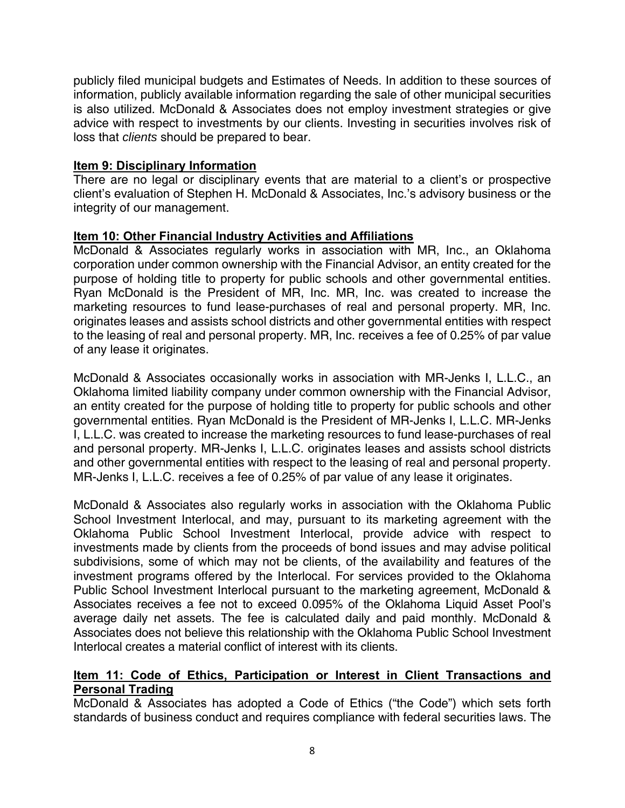publicly filed municipal budgets and Estimates of Needs. In addition to these sources of information, publicly available information regarding the sale of other municipal securities is also utilized. McDonald & Associates does not employ investment strategies or give advice with respect to investments by our clients. Investing in securities involves risk of loss that *clients* should be prepared to bear.

## **Item 9: Disciplinary Information**

There are no legal or disciplinary events that are material to a client's or prospective client's evaluation of Stephen H. McDonald & Associates, Inc.'s advisory business or the integrity of our management.

## **Item 10: Other Financial Industry Activities and Affiliations**

McDonald & Associates regularly works in association with MR, Inc., an Oklahoma corporation under common ownership with the Financial Advisor, an entity created for the purpose of holding title to property for public schools and other governmental entities. Ryan McDonald is the President of MR, Inc. MR, Inc. was created to increase the marketing resources to fund lease-purchases of real and personal property. MR, Inc. originates leases and assists school districts and other governmental entities with respect to the leasing of real and personal property. MR, Inc. receives a fee of 0.25% of par value of any lease it originates.

McDonald & Associates occasionally works in association with MR-Jenks I, L.L.C., an Oklahoma limited liability company under common ownership with the Financial Advisor, an entity created for the purpose of holding title to property for public schools and other governmental entities. Ryan McDonald is the President of MR-Jenks I, L.L.C. MR-Jenks I, L.L.C. was created to increase the marketing resources to fund lease-purchases of real and personal property. MR-Jenks I, L.L.C. originates leases and assists school districts and other governmental entities with respect to the leasing of real and personal property. MR-Jenks I, L.L.C. receives a fee of 0.25% of par value of any lease it originates.

McDonald & Associates also regularly works in association with the Oklahoma Public School Investment Interlocal, and may, pursuant to its marketing agreement with the Oklahoma Public School Investment Interlocal, provide advice with respect to investments made by clients from the proceeds of bond issues and may advise political subdivisions, some of which may not be clients, of the availability and features of the investment programs offered by the Interlocal. For services provided to the Oklahoma Public School Investment Interlocal pursuant to the marketing agreement, McDonald & Associates receives a fee not to exceed 0.095% of the Oklahoma Liquid Asset Pool's average daily net assets. The fee is calculated daily and paid monthly. McDonald & Associates does not believe this relationship with the Oklahoma Public School Investment Interlocal creates a material conflict of interest with its clients.

# **Item 11: Code of Ethics, Participation or Interest in Client Transactions and Personal Trading**

McDonald & Associates has adopted a Code of Ethics ("the Code") which sets forth standards of business conduct and requires compliance with federal securities laws. The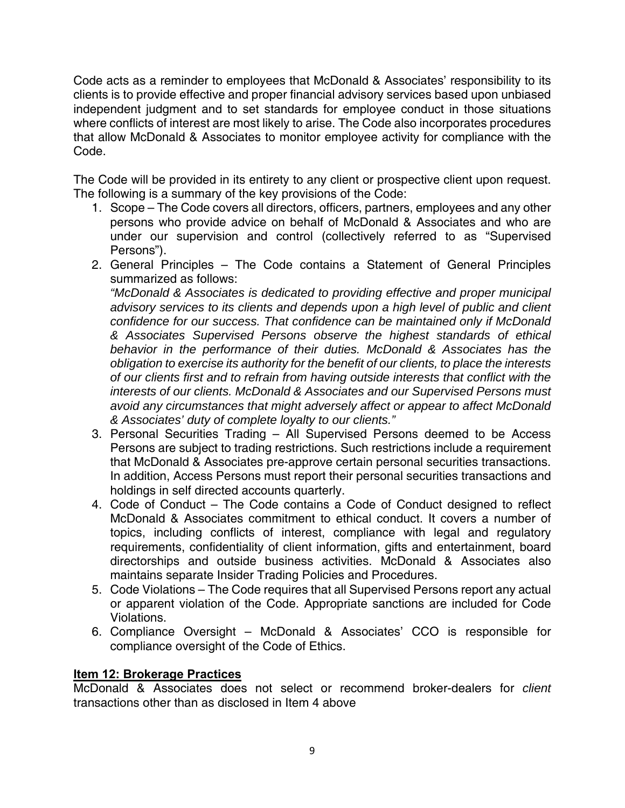Code acts as a reminder to employees that McDonald & Associates' responsibility to its clients is to provide effective and proper financial advisory services based upon unbiased independent judgment and to set standards for employee conduct in those situations where conflicts of interest are most likely to arise. The Code also incorporates procedures that allow McDonald & Associates to monitor employee activity for compliance with the Code.

The Code will be provided in its entirety to any client or prospective client upon request. The following is a summary of the key provisions of the Code:

- 1. Scope The Code covers all directors, officers, partners, employees and any other persons who provide advice on behalf of McDonald & Associates and who are under our supervision and control (collectively referred to as "Supervised Persons").
- 2. General Principles The Code contains a Statement of General Principles summarized as follows:

*"McDonald & Associates is dedicated to providing effective and proper municipal advisory services to its clients and depends upon a high level of public and client confidence for our success. That confidence can be maintained only if McDonald & Associates Supervised Persons observe the highest standards of ethical behavior in the performance of their duties. McDonald & Associates has the obligation to exercise its authority for the benefit of our clients, to place the interests of our clients first and to refrain from having outside interests that conflict with the interests of our clients. McDonald & Associates and our Supervised Persons must avoid any circumstances that might adversely affect or appear to affect McDonald & Associates' duty of complete loyalty to our clients."* 

- 3. Personal Securities Trading All Supervised Persons deemed to be Access Persons are subject to trading restrictions. Such restrictions include a requirement that McDonald & Associates pre-approve certain personal securities transactions. In addition, Access Persons must report their personal securities transactions and holdings in self directed accounts quarterly.
- 4. Code of Conduct The Code contains a Code of Conduct designed to reflect McDonald & Associates commitment to ethical conduct. It covers a number of topics, including conflicts of interest, compliance with legal and regulatory requirements, confidentiality of client information, gifts and entertainment, board directorships and outside business activities. McDonald & Associates also maintains separate Insider Trading Policies and Procedures.
- 5. Code Violations The Code requires that all Supervised Persons report any actual or apparent violation of the Code. Appropriate sanctions are included for Code Violations.
- 6. Compliance Oversight McDonald & Associates' CCO is responsible for compliance oversight of the Code of Ethics.

# **Item 12: Brokerage Practices**

McDonald & Associates does not select or recommend broker-dealers for *client* transactions other than as disclosed in Item 4 above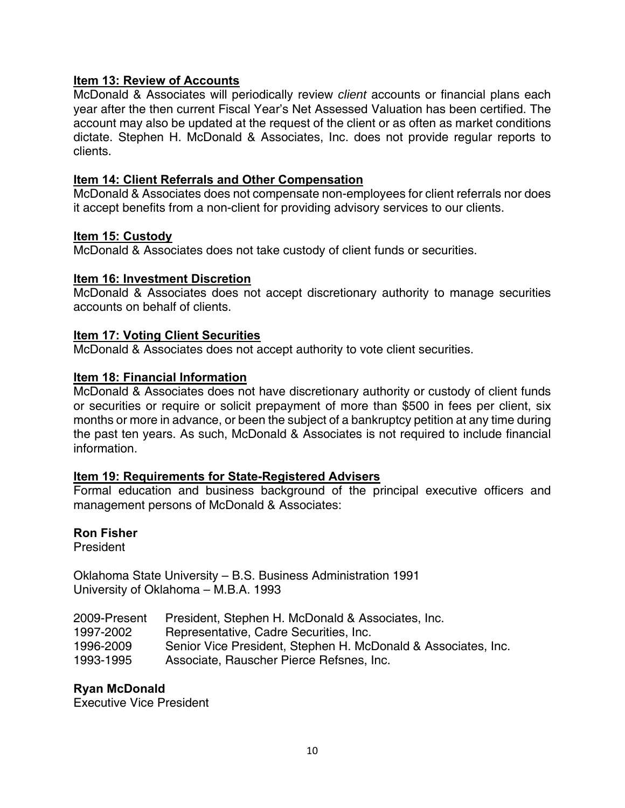# **Item 13: Review of Accounts**

McDonald & Associates will periodically review *client* accounts or financial plans each year after the then current Fiscal Year's Net Assessed Valuation has been certified. The account may also be updated at the request of the client or as often as market conditions dictate. Stephen H. McDonald & Associates, Inc. does not provide regular reports to clients.

# **Item 14: Client Referrals and Other Compensation**

McDonald & Associates does not compensate non-employees for client referrals nor does it accept benefits from a non-client for providing advisory services to our clients.

# **Item 15: Custody**

McDonald & Associates does not take custody of client funds or securities.

## **Item 16: Investment Discretion**

McDonald & Associates does not accept discretionary authority to manage securities accounts on behalf of clients.

## **Item 17: Voting Client Securities**

McDonald & Associates does not accept authority to vote client securities.

## **Item 18: Financial Information**

McDonald & Associates does not have discretionary authority or custody of client funds or securities or require or solicit prepayment of more than \$500 in fees per client, six months or more in advance, or been the subject of a bankruptcy petition at any time during the past ten years. As such, McDonald & Associates is not required to include financial information.

#### **Item 19: Requirements for State-Registered Advisers**

Formal education and business background of the principal executive officers and management persons of McDonald & Associates:

#### **Ron Fisher**

President

Oklahoma State University – B.S. Business Administration 1991 University of Oklahoma – M.B.A. 1993

| 2009-Present | President, Stephen H. McDonald & Associates, Inc.             |
|--------------|---------------------------------------------------------------|
| 1997-2002    | Representative, Cadre Securities, Inc.                        |
| 1996-2009    | Senior Vice President, Stephen H. McDonald & Associates, Inc. |
| 1993-1995    | Associate, Rauscher Pierce Refsnes, Inc.                      |

# **Ryan McDonald**

Executive Vice President